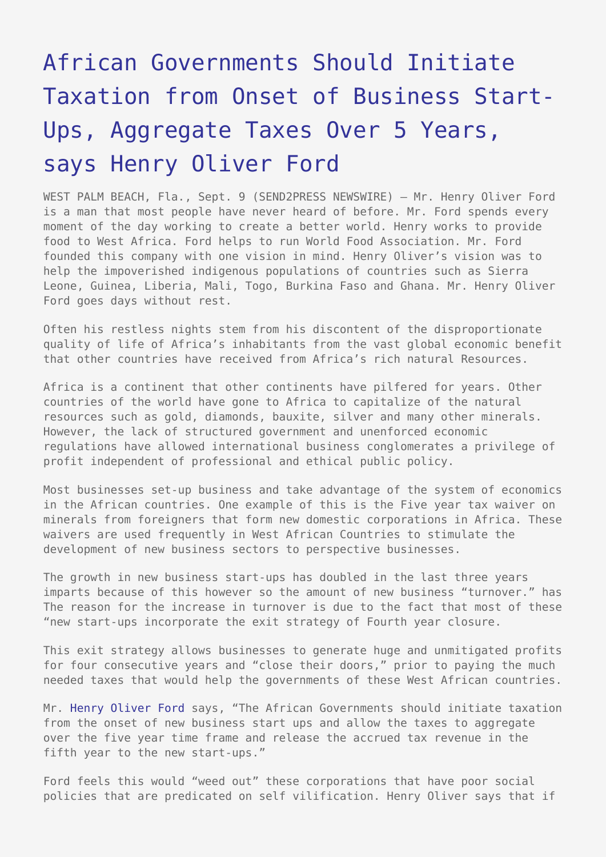## [African Governments Should Initiate](https://www.send2press.com/wire/2010-09-0909-004/) [Taxation from Onset of Business Start-](https://www.send2press.com/wire/2010-09-0909-004/)[Ups, Aggregate Taxes Over 5 Years,](https://www.send2press.com/wire/2010-09-0909-004/) [says Henry Oliver Ford](https://www.send2press.com/wire/2010-09-0909-004/)

WEST PALM BEACH, Fla., Sept. 9 (SEND2PRESS NEWSWIRE) — Mr. Henry Oliver Ford is a man that most people have never heard of before. Mr. Ford spends every moment of the day working to create a better world. Henry works to provide food to West Africa. Ford helps to run World Food Association. Mr. Ford founded this company with one vision in mind. Henry Oliver's vision was to help the impoverished indigenous populations of countries such as Sierra Leone, Guinea, Liberia, Mali, Togo, Burkina Faso and Ghana. Mr. Henry Oliver Ford goes days without rest.

Often his restless nights stem from his discontent of the disproportionate quality of life of Africa's inhabitants from the vast global economic benefit that other countries have received from Africa's rich natural Resources.

Africa is a continent that other continents have pilfered for years. Other countries of the world have gone to Africa to capitalize of the natural resources such as gold, diamonds, bauxite, silver and many other minerals. However, the lack of structured government and unenforced economic regulations have allowed international business conglomerates a privilege of profit independent of professional and ethical public policy.

Most businesses set-up business and take advantage of the system of economics in the African countries. One example of this is the Five year tax waiver on minerals from foreigners that form new domestic corporations in Africa. These waivers are used frequently in West African Countries to stimulate the development of new business sectors to perspective businesses.

The growth in new business start-ups has doubled in the last three years imparts because of this however so the amount of new business "turnover." has The reason for the increase in turnover is due to the fact that most of these "new start-ups incorporate the exit strategy of Fourth year closure.

This exit strategy allows businesses to generate huge and unmitigated profits for four consecutive years and "close their doors," prior to paying the much needed taxes that would help the governments of these West African countries.

Mr. [Henry Oliver Ford](http://www.wfao.us) says, "The African Governments should initiate taxation from the onset of new business start ups and allow the taxes to aggregate over the five year time frame and release the accrued tax revenue in the fifth year to the new start-ups."

Ford feels this would "weed out" these corporations that have poor social policies that are predicated on self vilification. Henry Oliver says that if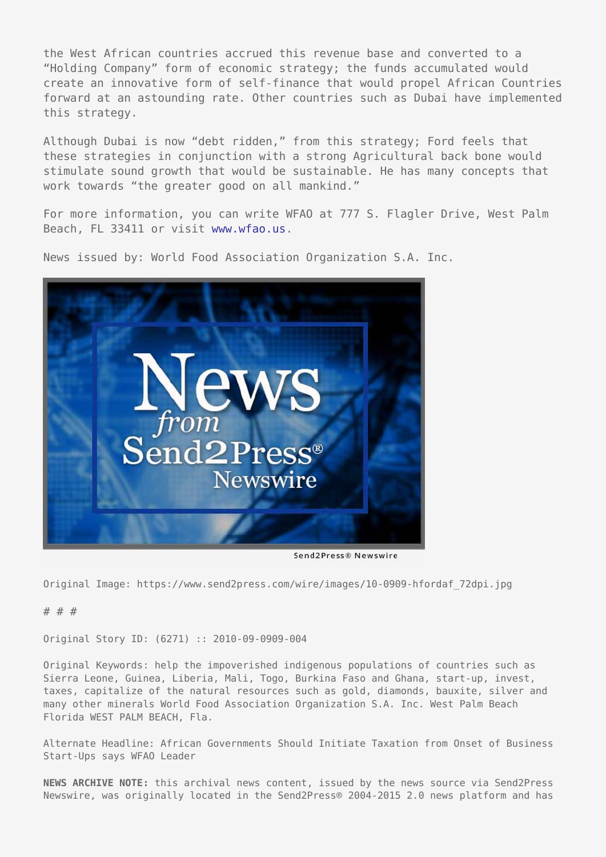the West African countries accrued this revenue base and converted to a "Holding Company" form of economic strategy; the funds accumulated would create an innovative form of self-finance that would propel African Countries forward at an astounding rate. Other countries such as Dubai have implemented this strategy.

Although Dubai is now "debt ridden," from this strategy; Ford feels that these strategies in conjunction with a strong Agricultural back bone would stimulate sound growth that would be sustainable. He has many concepts that work towards "the greater good on all mankind."

For more information, you can write WFAO at 777 S. Flagler Drive, West Palm Beach, FL 33411 or visit [www.wfao.us.](http://www.wfao.us)

News issued by: World Food Association Organization S.A. Inc.



Send2Press® Newswire

Original Image: https://www.send2press.com/wire/images/10-0909-hfordaf\_72dpi.jpg

## # # #

Original Story ID: (6271) :: 2010-09-0909-004

Original Keywords: help the impoverished indigenous populations of countries such as Sierra Leone, Guinea, Liberia, Mali, Togo, Burkina Faso and Ghana, start-up, invest, taxes, capitalize of the natural resources such as gold, diamonds, bauxite, silver and many other minerals World Food Association Organization S.A. Inc. West Palm Beach Florida WEST PALM BEACH, Fla.

Alternate Headline: African Governments Should Initiate Taxation from Onset of Business Start-Ups says WFAO Leader

**NEWS ARCHIVE NOTE:** this archival news content, issued by the news source via Send2Press Newswire, was originally located in the Send2Press® 2004-2015 2.0 news platform and has